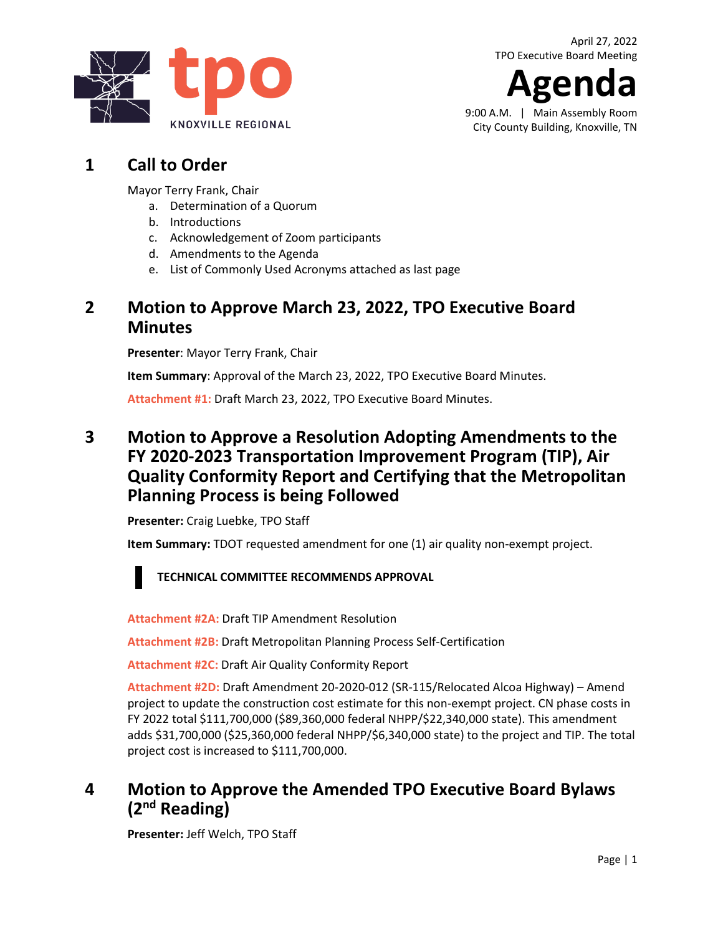**Agenda** 9:00 A.M. | Main Assembly Room

City County Building, Knoxville, TN

# **1 Call to Order**

Mayor Terry Frank, Chair

- a. Determination of a Quorum
- b. Introductions
- c. Acknowledgement of Zoom participants
- d. Amendments to the Agenda
- e. List of Commonly Used Acronyms attached as last page

# **2 Motion to Approve March 23, 2022, TPO Executive Board Minutes**

**Presenter**: Mayor Terry Frank, Chair

**Item Summary**: Approval of the March 23, 2022, TPO Executive Board Minutes.

**[Attachment #1:](https://knoxtpo.org/home/meetings/exec/minutes/2022/march.pdf)** Draft March 23, 2022, TPO Executive Board Minutes.

# **3 Motion to Approve a Resolution Adopting Amendments to the FY 2020-2023 Transportation Improvement Program (TIP), Air Quality Conformity Report and Certifying that the Metropolitan Planning Process is being Followed**

**Presenter:** Craig Luebke, TPO Staff

**Item Summary:** TDOT requested amendment for one (1) air quality non-exempt project.

### **TECHNICAL COMMITTEE RECOMMENDS APPROVAL**

**[Attachment #2A:](https://knoxtpo.org/home/meetings/exec/agendas/2022/april/2a.pdf)** Draft TIP Amendment Resolution

**[Attachment #2B:](https://knoxtpo.org/home/meetings/exec/agendas/2022/april/2b.pdf)** Draft Metropolitan Planning Process Self-Certification

**[Attachment #2C:](https://knoxtpo.org/home/meetings/exec/agendas/2022/april/2c.pdf)** Draft Air Quality Conformity Report

**[Attachment #2D:](https://knoxtpo.org/home/meetings/exec/agendas/2022/april/2d.pdf)** Draft Amendment 20-2020-012 (SR-115/Relocated Alcoa Highway) – Amend project to update the construction cost estimate for this non-exempt project. CN phase costs in FY 2022 total \$111,700,000 (\$89,360,000 federal NHPP/\$22,340,000 state). This amendment adds \$31,700,000 (\$25,360,000 federal NHPP/\$6,340,000 state) to the project and TIP. The total project cost is increased to \$111,700,000.

# **4 Motion to Approve the Amended TPO Executive Board Bylaws (2nd Reading)**

**Presenter:** Jeff Welch, TPO Staff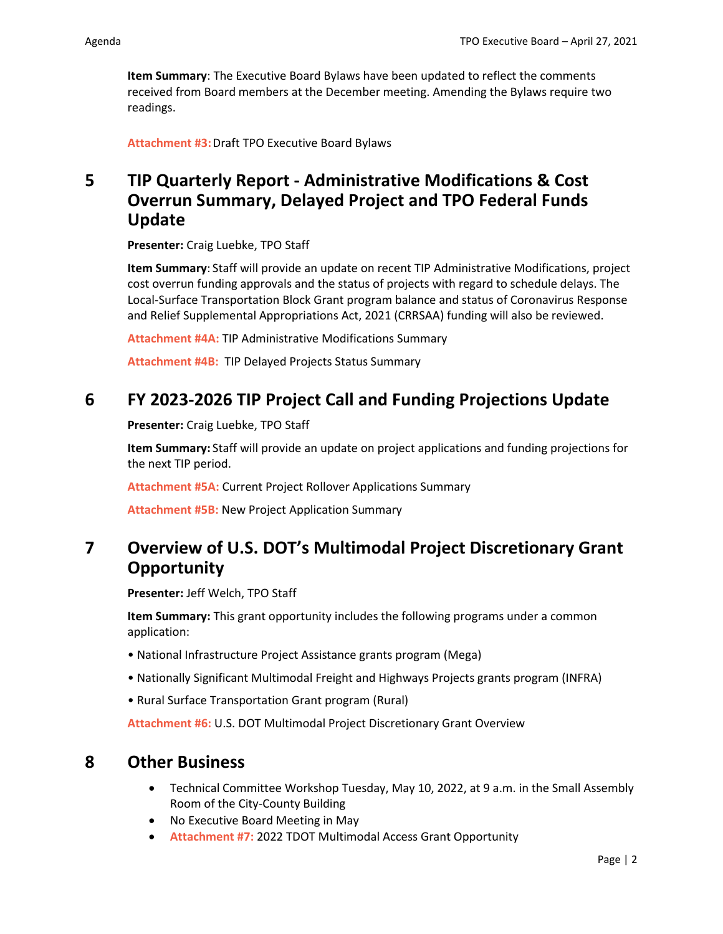**Item Summary**: The Executive Board Bylaws have been updated to reflect the comments received from Board members at the December meeting. Amending the Bylaws require two readings.

**[Attachment #3:](https://knoxtpo.org/home/meetings/exec/agendas/2022/april/3.pdf)**Draft TPO Executive Board Bylaws

# **5 TIP Quarterly Report - Administrative Modifications & Cost Overrun Summary, Delayed Project and TPO Federal Funds Update**

**Presenter:** Craig Luebke, TPO Staff

**Item Summary**: Staff will provide an update on recent TIP Administrative Modifications, project cost overrun funding approvals and the status of projects with regard to schedule delays. The Local-Surface Transportation Block Grant program balance and status of Coronavirus Response and Relief Supplemental Appropriations Act, 2021 (CRRSAA) funding will also be reviewed.

**[Attachment #4A:](https://knoxtpo.org/home/meetings/exec/agendas/2022/april/4a.pdf)** TIP Administrative Modifications Summary

**[Attachment #4B:](https://knoxtpo.org/home/meetings/exec/agendas/2022/april/4b.pdf)** TIP Delayed Projects Status Summary

### **6 FY 2023-2026 TIP Project Call and Funding Projections Update**

**Presenter:** Craig Luebke, TPO Staff

**Item Summary:** Staff will provide an update on project applications and funding projections for the next TIP period.

**[Attachment #5A:](https://knoxtpo.org/home/meetings/exec/agendas/2022/april/5a.pdf)** Current Project Rollover Applications Summary

**[Attachment #5B:](https://knoxtpo.org/home/meetings/exec/agendas/2022/april/5b.pdf)** New Project Application Summary

# **7 Overview of U.S. DOT's Multimodal Project Discretionary Grant Opportunity**

**Presenter:** Jeff Welch, TPO Staff

**Item Summary:** This grant opportunity includes the following programs under a common application:

- National Infrastructure Project Assistance grants program (Mega)
- Nationally Significant Multimodal Freight and Highways Projects grants program (INFRA)
- Rural Surface Transportation Grant program (Rural)

**[Attachment #6:](https://knoxtpo.org/home/meetings/exec/agendas/2022/april/6.pdf)** U.S. DOT Multimodal Project Discretionary Grant Overview

#### **8 Other Business**

- Technical Committee Workshop Tuesday, May 10, 2022, at 9 a.m. in the Small Assembly Room of the City-County Building
- No Executive Board Meeting in May
- **[Attachment #7:](https://knoxtpo.org/home/meetings/exec/agendas/2022/april/7.pdf)** 2022 TDOT Multimodal Access Grant Opportunity